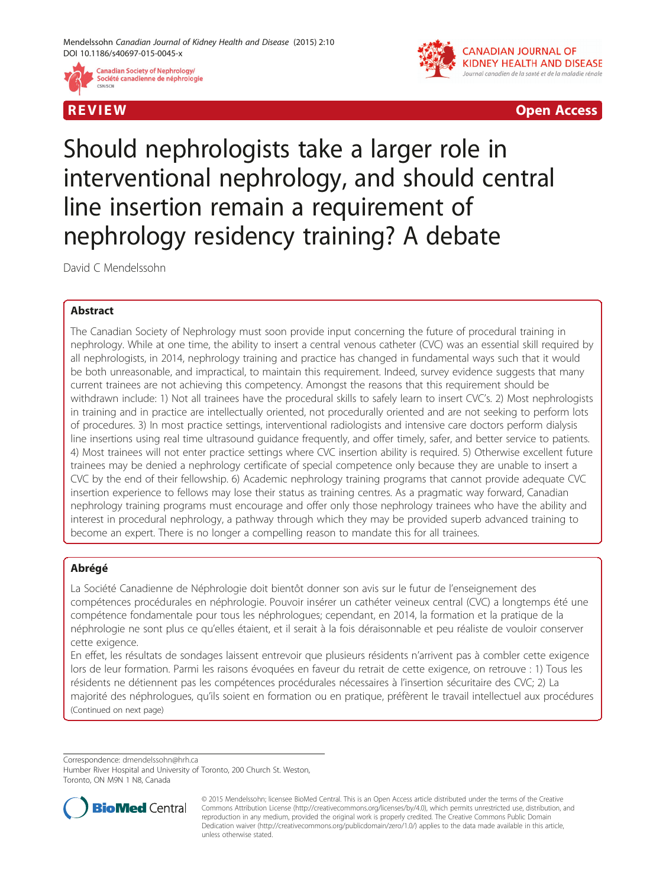

Société canadienne de néphrologie





R EVI EW Open Access

# Should nephrologists take a larger role in interventional nephrology, and should central line insertion remain a requirement of nephrology residency training? A debate

David C Mendelssohn

# Abstract

The Canadian Society of Nephrology must soon provide input concerning the future of procedural training in nephrology. While at one time, the ability to insert a central venous catheter (CVC) was an essential skill required by all nephrologists, in 2014, nephrology training and practice has changed in fundamental ways such that it would be both unreasonable, and impractical, to maintain this requirement. Indeed, survey evidence suggests that many current trainees are not achieving this competency. Amongst the reasons that this requirement should be withdrawn include: 1) Not all trainees have the procedural skills to safely learn to insert CVC's. 2) Most nephrologists in training and in practice are intellectually oriented, not procedurally oriented and are not seeking to perform lots of procedures. 3) In most practice settings, interventional radiologists and intensive care doctors perform dialysis line insertions using real time ultrasound guidance frequently, and offer timely, safer, and better service to patients. 4) Most trainees will not enter practice settings where CVC insertion ability is required. 5) Otherwise excellent future trainees may be denied a nephrology certificate of special competence only because they are unable to insert a CVC by the end of their fellowship. 6) Academic nephrology training programs that cannot provide adequate CVC insertion experience to fellows may lose their status as training centres. As a pragmatic way forward, Canadian nephrology training programs must encourage and offer only those nephrology trainees who have the ability and interest in procedural nephrology, a pathway through which they may be provided superb advanced training to become an expert. There is no longer a compelling reason to mandate this for all trainees.

# Abrégé

La Société Canadienne de Néphrologie doit bientôt donner son avis sur le futur de l'enseignement des compétences procédurales en néphrologie. Pouvoir insérer un cathéter veineux central (CVC) a longtemps été une compétence fondamentale pour tous les néphrologues; cependant, en 2014, la formation et la pratique de la néphrologie ne sont plus ce qu'elles étaient, et il serait à la fois déraisonnable et peu réaliste de vouloir conserver cette exigence.

En effet, les résultats de sondages laissent entrevoir que plusieurs résidents n'arrivent pas à combler cette exigence lors de leur formation. Parmi les raisons évoquées en faveur du retrait de cette exigence, on retrouve : 1) Tous les résidents ne détiennent pas les compétences procédurales nécessaires à l'insertion sécuritaire des CVC; 2) La majorité des néphrologues, qu'ils soient en formation ou en pratique, préfèrent le travail intellectuel aux procédures (Continued on next page)

Correspondence: [dmendelssohn@hrh.ca](mailto:dmendelssohn@hrh.ca)

Humber River Hospital and University of Toronto, 200 Church St. Weston, Toronto, ON M9N 1 N8, Canada



<sup>© 2015</sup> Mendelssohn; licensee BioMed Central. This is an Open Access article distributed under the terms of the Creative Commons Attribution License [\(http://creativecommons.org/licenses/by/4.0\)](http://creativecommons.org/licenses/by/4.0), which permits unrestricted use, distribution, and reproduction in any medium, provided the original work is properly credited. The Creative Commons Public Domain Dedication waiver [\(http://creativecommons.org/publicdomain/zero/1.0/](http://creativecommons.org/publicdomain/zero/1.0/)) applies to the data made available in this article, unless otherwise stated.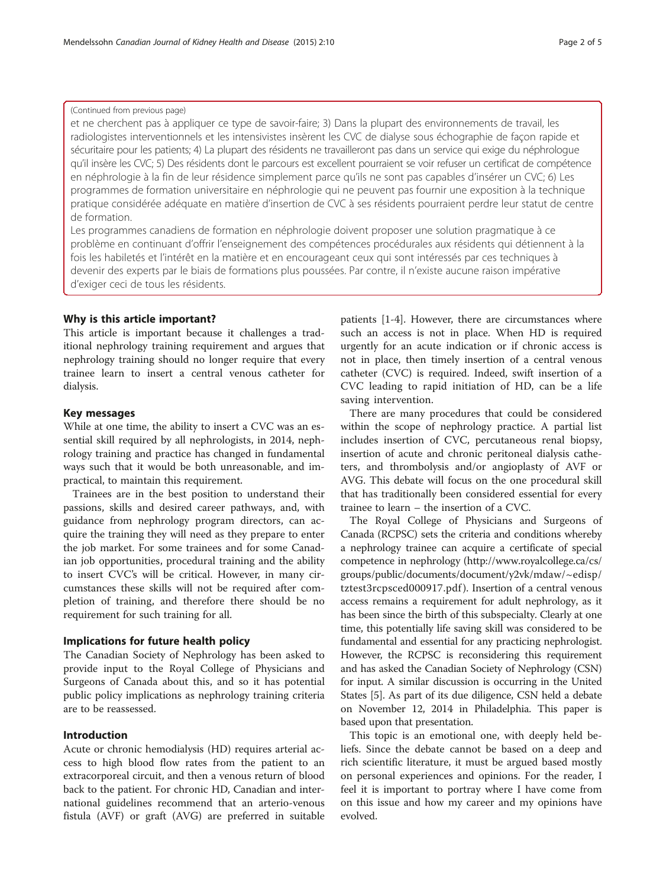(Continued from previous page)

et ne cherchent pas à appliquer ce type de savoir-faire; 3) Dans la plupart des environnements de travail, les radiologistes interventionnels et les intensivistes insèrent les CVC de dialyse sous échographie de façon rapide et sécuritaire pour les patients; 4) La plupart des résidents ne travailleront pas dans un service qui exige du néphrologue qu'il insère les CVC; 5) Des résidents dont le parcours est excellent pourraient se voir refuser un certificat de compétence en néphrologie à la fin de leur résidence simplement parce qu'ils ne sont pas capables d'insérer un CVC; 6) Les programmes de formation universitaire en néphrologie qui ne peuvent pas fournir une exposition à la technique pratique considérée adéquate en matière d'insertion de CVC à ses résidents pourraient perdre leur statut de centre de formation.

Les programmes canadiens de formation en néphrologie doivent proposer une solution pragmatique à ce problème en continuant d'offrir l'enseignement des compétences procédurales aux résidents qui détiennent à la fois les habiletés et l'intérêt en la matière et en encourageant ceux qui sont intéressés par ces techniques à devenir des experts par le biais de formations plus poussées. Par contre, il n'existe aucune raison impérative d'exiger ceci de tous les résidents.

### Why is this article important?

This article is important because it challenges a traditional nephrology training requirement and argues that nephrology training should no longer require that every trainee learn to insert a central venous catheter for dialysis.

#### Key messages

While at one time, the ability to insert a CVC was an essential skill required by all nephrologists, in 2014, nephrology training and practice has changed in fundamental ways such that it would be both unreasonable, and impractical, to maintain this requirement.

Trainees are in the best position to understand their passions, skills and desired career pathways, and, with guidance from nephrology program directors, can acquire the training they will need as they prepare to enter the job market. For some trainees and for some Canadian job opportunities, procedural training and the ability to insert CVC's will be critical. However, in many circumstances these skills will not be required after completion of training, and therefore there should be no requirement for such training for all.

#### Implications for future health policy

The Canadian Society of Nephrology has been asked to provide input to the Royal College of Physicians and Surgeons of Canada about this, and so it has potential public policy implications as nephrology training criteria are to be reassessed.

# Introduction

Acute or chronic hemodialysis (HD) requires arterial access to high blood flow rates from the patient to an extracorporeal circuit, and then a venous return of blood back to the patient. For chronic HD, Canadian and international guidelines recommend that an arterio-venous fistula (AVF) or graft (AVG) are preferred in suitable

patients [\[1](#page-4-0)-[4\]](#page-4-0). However, there are circumstances where such an access is not in place. When HD is required urgently for an acute indication or if chronic access is not in place, then timely insertion of a central venous catheter (CVC) is required. Indeed, swift insertion of a CVC leading to rapid initiation of HD, can be a life saving intervention.

There are many procedures that could be considered within the scope of nephrology practice. A partial list includes insertion of CVC, percutaneous renal biopsy, insertion of acute and chronic peritoneal dialysis catheters, and thrombolysis and/or angioplasty of AVF or AVG. This debate will focus on the one procedural skill that has traditionally been considered essential for every trainee to learn – the insertion of a CVC.

The Royal College of Physicians and Surgeons of Canada (RCPSC) sets the criteria and conditions whereby a nephrology trainee can acquire a certificate of special competence in nephrology ([http://www.royalcollege.ca/cs/](http://www.royalcollege.ca/cs/groups/public/documents/document/y2vk/mdaw/~edisp/tztest3rcpsced000917.pdf) [groups/public/documents/document/y2vk/mdaw/~edisp/](http://www.royalcollege.ca/cs/groups/public/documents/document/y2vk/mdaw/~edisp/tztest3rcpsced000917.pdf) [tztest3rcpsced000917.pdf](http://www.royalcollege.ca/cs/groups/public/documents/document/y2vk/mdaw/~edisp/tztest3rcpsced000917.pdf) ). Insertion of a central venous access remains a requirement for adult nephrology, as it has been since the birth of this subspecialty. Clearly at one time, this potentially life saving skill was considered to be fundamental and essential for any practicing nephrologist. However, the RCPSC is reconsidering this requirement and has asked the Canadian Society of Nephrology (CSN) for input. A similar discussion is occurring in the United States [\[5](#page-4-0)]. As part of its due diligence, CSN held a debate on November 12, 2014 in Philadelphia. This paper is based upon that presentation.

This topic is an emotional one, with deeply held beliefs. Since the debate cannot be based on a deep and rich scientific literature, it must be argued based mostly on personal experiences and opinions. For the reader, I feel it is important to portray where I have come from on this issue and how my career and my opinions have evolved.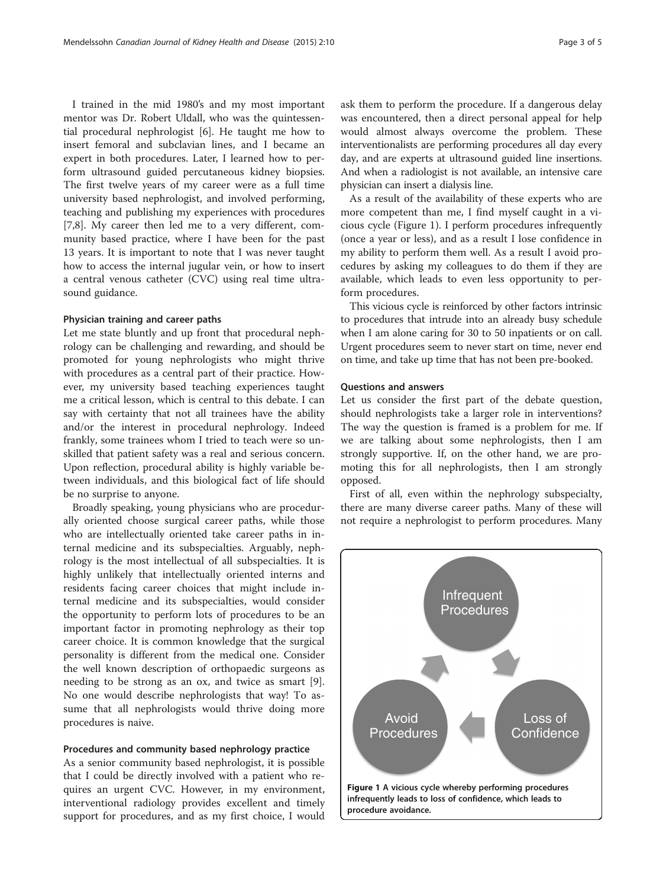I trained in the mid 1980's and my most important mentor was Dr. Robert Uldall, who was the quintessential procedural nephrologist [\[6](#page-4-0)]. He taught me how to insert femoral and subclavian lines, and I became an expert in both procedures. Later, I learned how to perform ultrasound guided percutaneous kidney biopsies. The first twelve years of my career were as a full time university based nephrologist, and involved performing, teaching and publishing my experiences with procedures [[7,8\]](#page-4-0). My career then led me to a very different, community based practice, where I have been for the past 13 years. It is important to note that I was never taught how to access the internal jugular vein, or how to insert a central venous catheter (CVC) using real time ultrasound guidance.

#### Physician training and career paths

Let me state bluntly and up front that procedural nephrology can be challenging and rewarding, and should be promoted for young nephrologists who might thrive with procedures as a central part of their practice. However, my university based teaching experiences taught me a critical lesson, which is central to this debate. I can say with certainty that not all trainees have the ability and/or the interest in procedural nephrology. Indeed frankly, some trainees whom I tried to teach were so unskilled that patient safety was a real and serious concern. Upon reflection, procedural ability is highly variable between individuals, and this biological fact of life should be no surprise to anyone.

Broadly speaking, young physicians who are procedurally oriented choose surgical career paths, while those who are intellectually oriented take career paths in internal medicine and its subspecialties. Arguably, nephrology is the most intellectual of all subspecialties. It is highly unlikely that intellectually oriented interns and residents facing career choices that might include internal medicine and its subspecialties, would consider the opportunity to perform lots of procedures to be an important factor in promoting nephrology as their top career choice. It is common knowledge that the surgical personality is different from the medical one. Consider the well known description of orthopaedic surgeons as needing to be strong as an ox, and twice as smart [\[9](#page-4-0)]. No one would describe nephrologists that way! To assume that all nephrologists would thrive doing more procedures is naive.

## Procedures and community based nephrology practice

As a senior community based nephrologist, it is possible that I could be directly involved with a patient who requires an urgent CVC. However, in my environment, interventional radiology provides excellent and timely support for procedures, and as my first choice, I would

ask them to perform the procedure. If a dangerous delay was encountered, then a direct personal appeal for help would almost always overcome the problem. These interventionalists are performing procedures all day every day, and are experts at ultrasound guided line insertions. And when a radiologist is not available, an intensive care physician can insert a dialysis line.

As a result of the availability of these experts who are more competent than me, I find myself caught in a vicious cycle (Figure 1). I perform procedures infrequently (once a year or less), and as a result I lose confidence in my ability to perform them well. As a result I avoid procedures by asking my colleagues to do them if they are available, which leads to even less opportunity to perform procedures.

This vicious cycle is reinforced by other factors intrinsic to procedures that intrude into an already busy schedule when I am alone caring for 30 to 50 inpatients or on call. Urgent procedures seem to never start on time, never end on time, and take up time that has not been pre-booked.

#### Questions and answers

Let us consider the first part of the debate question, should nephrologists take a larger role in interventions? The way the question is framed is a problem for me. If we are talking about some nephrologists, then I am strongly supportive. If, on the other hand, we are promoting this for all nephrologists, then I am strongly opposed.

First of all, even within the nephrology subspecialty, there are many diverse career paths. Many of these will not require a nephrologist to perform procedures. Many

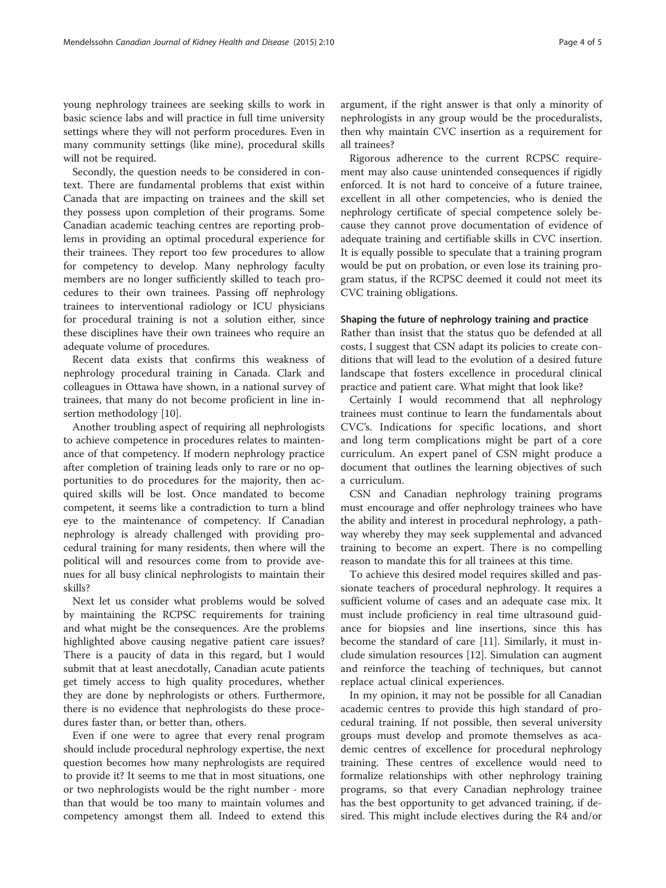young nephrology trainees are seeking skills to work in basic science labs and will practice in full time university settings where they will not perform procedures. Even in many community settings (like mine), procedural skills will not be required.

Secondly, the question needs to be considered in context. There are fundamental problems that exist within Canada that are impacting on trainees and the skill set they possess upon completion of their programs. Some Canadian academic teaching centres are reporting problems in providing an optimal procedural experience for their trainees. They report too few procedures to allow for competency to develop. Many nephrology faculty members are no longer sufficiently skilled to teach procedures to their own trainees. Passing off nephrology trainees to interventional radiology or ICU physicians for procedural training is not a solution either, since these disciplines have their own trainees who require an adequate volume of procedures.

Recent data exists that confirms this weakness of nephrology procedural training in Canada. Clark and colleagues in Ottawa have shown, in a national survey of trainees, that many do not become proficient in line insertion methodology [\[10\]](#page-4-0).

Another troubling aspect of requiring all nephrologists to achieve competence in procedures relates to maintenance of that competency. If modern nephrology practice after completion of training leads only to rare or no opportunities to do procedures for the majority, then acquired skills will be lost. Once mandated to become competent, it seems like a contradiction to turn a blind eye to the maintenance of competency. If Canadian nephrology is already challenged with providing procedural training for many residents, then where will the political will and resources come from to provide avenues for all busy clinical nephrologists to maintain their skills?

Next let us consider what problems would be solved by maintaining the RCPSC requirements for training and what might be the consequences. Are the problems highlighted above causing negative patient care issues? There is a paucity of data in this regard, but I would submit that at least anecdotally, Canadian acute patients get timely access to high quality procedures, whether they are done by nephrologists or others. Furthermore, there is no evidence that nephrologists do these procedures faster than, or better than, others.

Even if one were to agree that every renal program should include procedural nephrology expertise, the next question becomes how many nephrologists are required to provide it? It seems to me that in most situations, one or two nephrologists would be the right number - more than that would be too many to maintain volumes and competency amongst them all. Indeed to extend this argument, if the right answer is that only a minority of nephrologists in any group would be the proceduralists, then why maintain CVC insertion as a requirement for all trainees?

Rigorous adherence to the current RCPSC requirement may also cause unintended consequences if rigidly enforced. It is not hard to conceive of a future trainee, excellent in all other competencies, who is denied the nephrology certificate of special competence solely because they cannot prove documentation of evidence of adequate training and certifiable skills in CVC insertion. It is equally possible to speculate that a training program would be put on probation, or even lose its training program status, if the RCPSC deemed it could not meet its CVC training obligations.

#### Shaping the future of nephrology training and practice

Rather than insist that the status quo be defended at all costs, I suggest that CSN adapt its policies to create conditions that will lead to the evolution of a desired future landscape that fosters excellence in procedural clinical practice and patient care. What might that look like?

Certainly I would recommend that all nephrology trainees must continue to learn the fundamentals about CVC's. Indications for specific locations, and short and long term complications might be part of a core curriculum. An expert panel of CSN might produce a document that outlines the learning objectives of such a curriculum.

CSN and Canadian nephrology training programs must encourage and offer nephrology trainees who have the ability and interest in procedural nephrology, a pathway whereby they may seek supplemental and advanced training to become an expert. There is no compelling reason to mandate this for all trainees at this time.

To achieve this desired model requires skilled and passionate teachers of procedural nephrology. It requires a sufficient volume of cases and an adequate case mix. It must include proficiency in real time ultrasound guidance for biopsies and line insertions, since this has become the standard of care [\[11\]](#page-4-0). Similarly, it must include simulation resources [\[12](#page-4-0)]. Simulation can augment and reinforce the teaching of techniques, but cannot replace actual clinical experiences.

In my opinion, it may not be possible for all Canadian academic centres to provide this high standard of procedural training. If not possible, then several university groups must develop and promote themselves as academic centres of excellence for procedural nephrology training. These centres of excellence would need to formalize relationships with other nephrology training programs, so that every Canadian nephrology trainee has the best opportunity to get advanced training, if desired. This might include electives during the R4 and/or